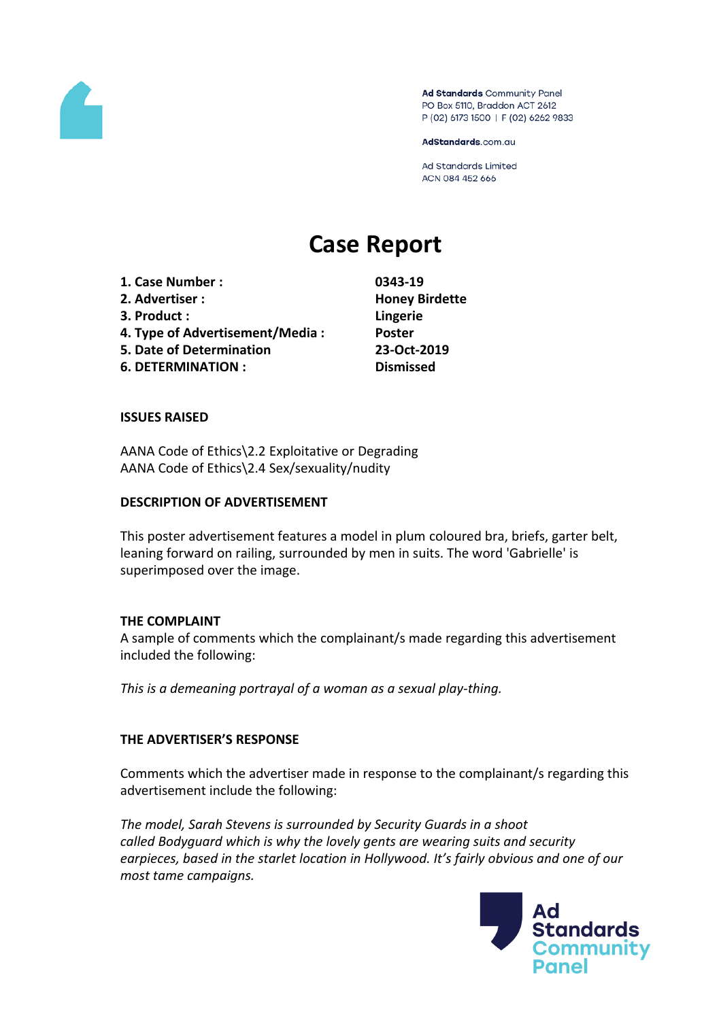

Ad Standards Community Panel PO Box 5110, Braddon ACT 2612 P (02) 6173 1500 | F (02) 6262 9833

AdStandards.com.au

**Ad Standards Limited** ACN 084 452 666

# **Case Report**

**1. Case Number : 0343-19 2. Advertiser : Honey Birdette 3. Product : Lingerie 4. Type of Advertisement/Media : Poster 5. Date of Determination 23-Oct-2019 6. DETERMINATION : Dismissed**

## **ISSUES RAISED**

AANA Code of Ethics\2.2 Exploitative or Degrading AANA Code of Ethics\2.4 Sex/sexuality/nudity

#### **DESCRIPTION OF ADVERTISEMENT**

This poster advertisement features a model in plum coloured bra, briefs, garter belt, leaning forward on railing, surrounded by men in suits. The word 'Gabrielle' is superimposed over the image.

#### **THE COMPLAINT**

A sample of comments which the complainant/s made regarding this advertisement included the following:

*This is a demeaning portrayal of a woman as a sexual play-thing.*

# **THE ADVERTISER'S RESPONSE**

Comments which the advertiser made in response to the complainant/s regarding this advertisement include the following:

*The model, Sarah Stevens is surrounded by Security Guards in a shoot called Bodyguard which is why the lovely gents are wearing suits and security earpieces, based in the starlet location in Hollywood. It's fairly obvious and one of our most tame campaigns.*

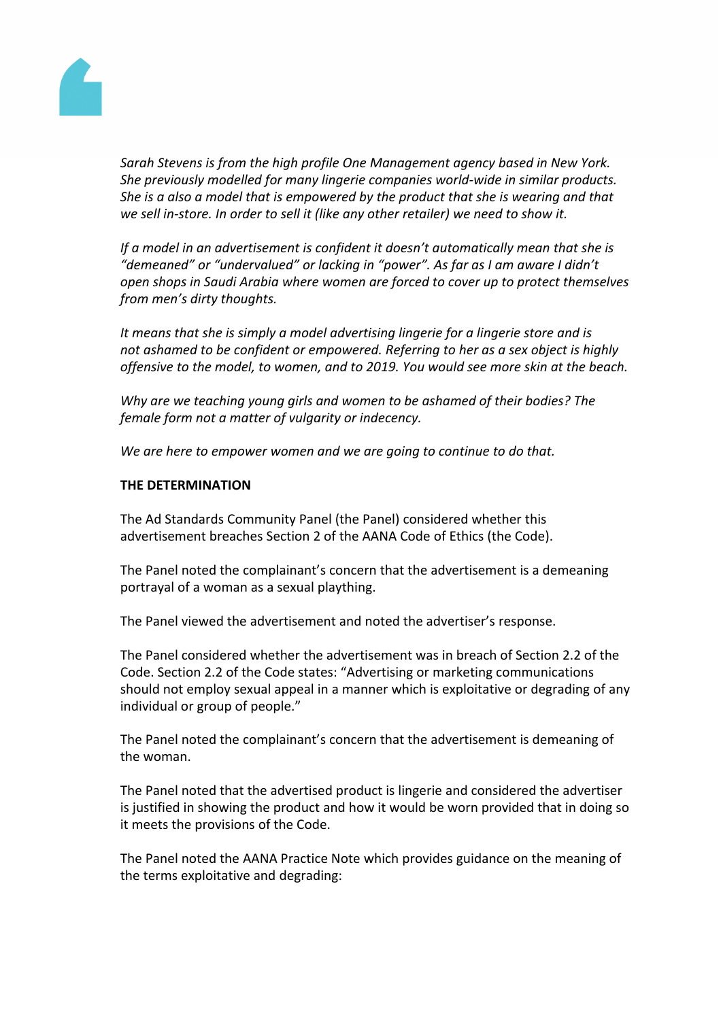

*Sarah Stevens is from the high profile One Management agency based in New York. She previously modelled for many lingerie companies world-wide in similar products. She is a also a model that is empowered by the product that she is wearing and that we sell in-store. In order to sell it (like any other retailer) we need to show it.*

*If a model in an advertisement is confident it doesn't automatically mean that she is "demeaned" or "undervalued" or lacking in "power". As far as I am aware I didn't open shops in Saudi Arabia where women are forced to cover up to protect themselves from men's dirty thoughts.*

*It means that she is simply a model advertising lingerie for a lingerie store and is not ashamed to be confident or empowered. Referring to her as a sex object is highly offensive to the model, to women, and to 2019. You would see more skin at the beach.*

*Why are we teaching young girls and women to be ashamed of their bodies? The female form not a matter of vulgarity or indecency.*

*We are here to empower women and we are going to continue to do that.*

## **THE DETERMINATION**

The Ad Standards Community Panel (the Panel) considered whether this advertisement breaches Section 2 of the AANA Code of Ethics (the Code).

The Panel noted the complainant's concern that the advertisement is a demeaning portrayal of a woman as a sexual plaything.

The Panel viewed the advertisement and noted the advertiser's response.

The Panel considered whether the advertisement was in breach of Section 2.2 of the Code. Section 2.2 of the Code states: "Advertising or marketing communications should not employ sexual appeal in a manner which is exploitative or degrading of any individual or group of people."

The Panel noted the complainant's concern that the advertisement is demeaning of the woman.

The Panel noted that the advertised product is lingerie and considered the advertiser is justified in showing the product and how it would be worn provided that in doing so it meets the provisions of the Code.

The Panel noted the AANA Practice Note which provides guidance on the meaning of the terms exploitative and degrading: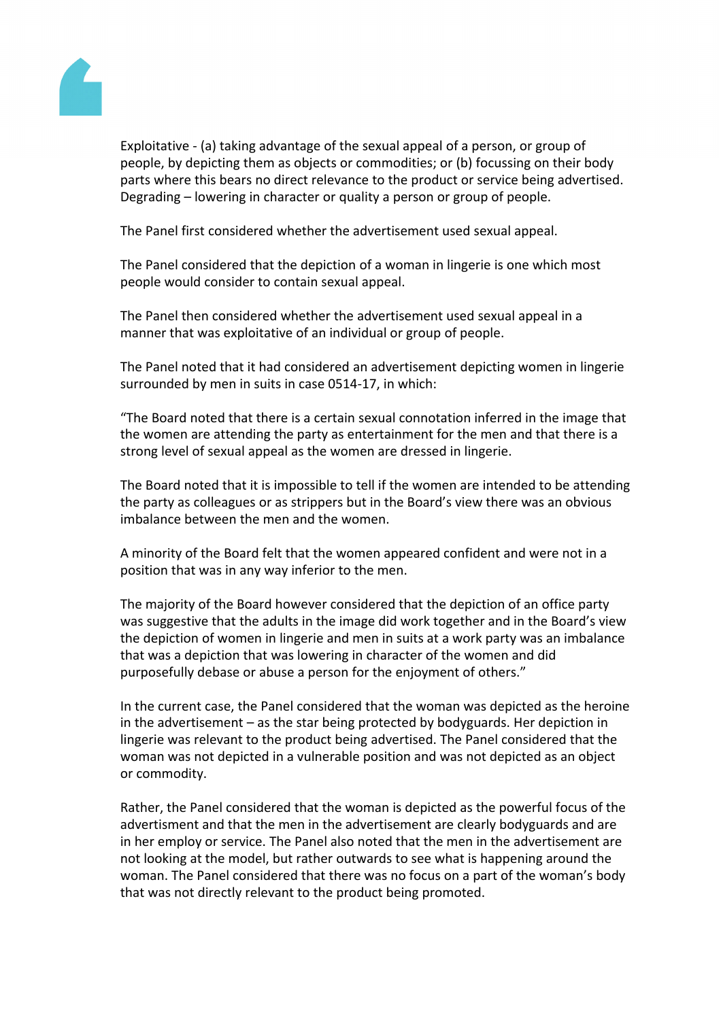

Exploitative - (a) taking advantage of the sexual appeal of a person, or group of people, by depicting them as objects or commodities; or (b) focussing on their body parts where this bears no direct relevance to the product or service being advertised. Degrading – lowering in character or quality a person or group of people.

The Panel first considered whether the advertisement used sexual appeal.

The Panel considered that the depiction of a woman in lingerie is one which most people would consider to contain sexual appeal.

The Panel then considered whether the advertisement used sexual appeal in a manner that was exploitative of an individual or group of people.

The Panel noted that it had considered an advertisement depicting women in lingerie surrounded by men in suits in case 0514-17, in which:

"The Board noted that there is a certain sexual connotation inferred in the image that the women are attending the party as entertainment for the men and that there is a strong level of sexual appeal as the women are dressed in lingerie.

The Board noted that it is impossible to tell if the women are intended to be attending the party as colleagues or as strippers but in the Board's view there was an obvious imbalance between the men and the women.

A minority of the Board felt that the women appeared confident and were not in a position that was in any way inferior to the men.

The majority of the Board however considered that the depiction of an office party was suggestive that the adults in the image did work together and in the Board's view the depiction of women in lingerie and men in suits at a work party was an imbalance that was a depiction that was lowering in character of the women and did purposefully debase or abuse a person for the enjoyment of others."

In the current case, the Panel considered that the woman was depicted as the heroine in the advertisement – as the star being protected by bodyguards. Her depiction in lingerie was relevant to the product being advertised. The Panel considered that the woman was not depicted in a vulnerable position and was not depicted as an object or commodity.

Rather, the Panel considered that the woman is depicted as the powerful focus of the advertisment and that the men in the advertisement are clearly bodyguards and are in her employ or service. The Panel also noted that the men in the advertisement are not looking at the model, but rather outwards to see what is happening around the woman. The Panel considered that there was no focus on a part of the woman's body that was not directly relevant to the product being promoted.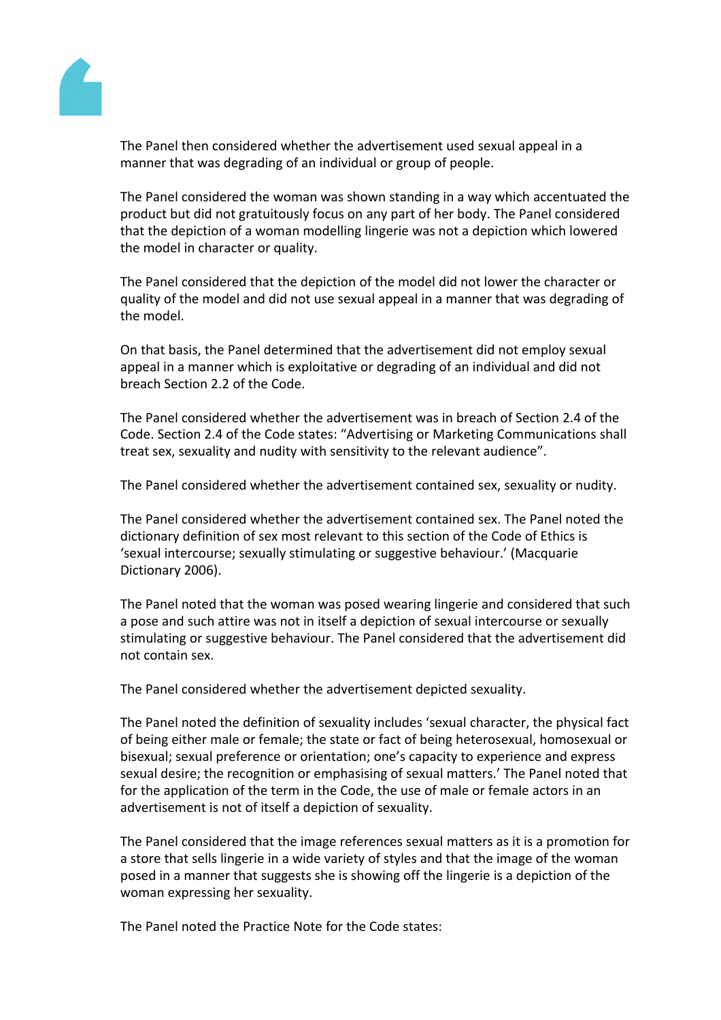

The Panel then considered whether the advertisement used sexual appeal in a manner that was degrading of an individual or group of people.

The Panel considered the woman was shown standing in a way which accentuated the product but did not gratuitously focus on any part of her body. The Panel considered that the depiction of a woman modelling lingerie was not a depiction which lowered the model in character or quality.

The Panel considered that the depiction of the model did not lower the character or quality of the model and did not use sexual appeal in a manner that was degrading of the model.

On that basis, the Panel determined that the advertisement did not employ sexual appeal in a manner which is exploitative or degrading of an individual and did not breach Section 2.2 of the Code.

The Panel considered whether the advertisement was in breach of Section 2.4 of the Code. Section 2.4 of the Code states: "Advertising or Marketing Communications shall treat sex, sexuality and nudity with sensitivity to the relevant audience".

The Panel considered whether the advertisement contained sex, sexuality or nudity.

The Panel considered whether the advertisement contained sex. The Panel noted the dictionary definition of sex most relevant to this section of the Code of Ethics is 'sexual intercourse; sexually stimulating or suggestive behaviour.' (Macquarie Dictionary 2006).

The Panel noted that the woman was posed wearing lingerie and considered that such a pose and such attire was not in itself a depiction of sexual intercourse or sexually stimulating or suggestive behaviour. The Panel considered that the advertisement did not contain sex.

The Panel considered whether the advertisement depicted sexuality.

The Panel noted the definition of sexuality includes 'sexual character, the physical fact of being either male or female; the state or fact of being heterosexual, homosexual or bisexual; sexual preference or orientation; one's capacity to experience and express sexual desire; the recognition or emphasising of sexual matters.' The Panel noted that for the application of the term in the Code, the use of male or female actors in an advertisement is not of itself a depiction of sexuality.

The Panel considered that the image references sexual matters as it is a promotion for a store that sells lingerie in a wide variety of styles and that the image of the woman posed in a manner that suggests she is showing off the lingerie is a depiction of the woman expressing her sexuality.

The Panel noted the Practice Note for the Code states: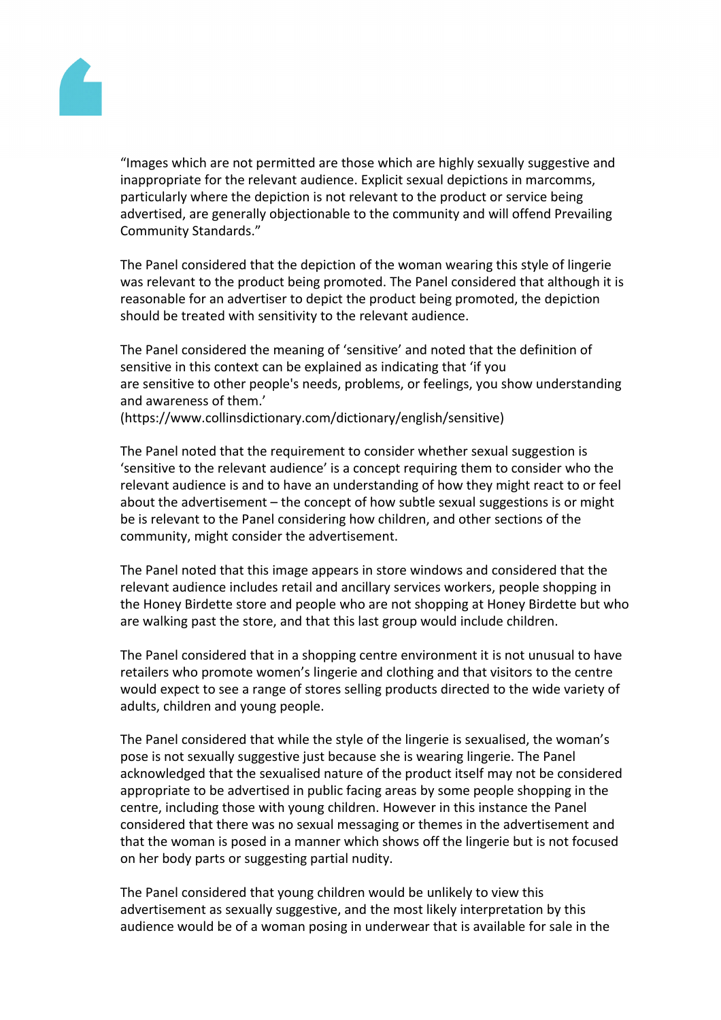

"Images which are not permitted are those which are highly sexually suggestive and inappropriate for the relevant audience. Explicit sexual depictions in marcomms, particularly where the depiction is not relevant to the product or service being advertised, are generally objectionable to the community and will offend Prevailing Community Standards."

The Panel considered that the depiction of the woman wearing this style of lingerie was relevant to the product being promoted. The Panel considered that although it is reasonable for an advertiser to depict the product being promoted, the depiction should be treated with sensitivity to the relevant audience.

The Panel considered the meaning of 'sensitive' and noted that the definition of sensitive in this context can be explained as indicating that 'if you are sensitive to other people's needs, problems, or feelings, you show understanding and awareness of them.'

(https://www.collinsdictionary.com/dictionary/english/sensitive)

The Panel noted that the requirement to consider whether sexual suggestion is 'sensitive to the relevant audience' is a concept requiring them to consider who the relevant audience is and to have an understanding of how they might react to or feel about the advertisement – the concept of how subtle sexual suggestions is or might be is relevant to the Panel considering how children, and other sections of the community, might consider the advertisement.

The Panel noted that this image appears in store windows and considered that the relevant audience includes retail and ancillary services workers, people shopping in the Honey Birdette store and people who are not shopping at Honey Birdette but who are walking past the store, and that this last group would include children.

The Panel considered that in a shopping centre environment it is not unusual to have retailers who promote women's lingerie and clothing and that visitors to the centre would expect to see a range of stores selling products directed to the wide variety of adults, children and young people.

The Panel considered that while the style of the lingerie is sexualised, the woman's pose is not sexually suggestive just because she is wearing lingerie. The Panel acknowledged that the sexualised nature of the product itself may not be considered appropriate to be advertised in public facing areas by some people shopping in the centre, including those with young children. However in this instance the Panel considered that there was no sexual messaging or themes in the advertisement and that the woman is posed in a manner which shows off the lingerie but is not focused on her body parts or suggesting partial nudity.

The Panel considered that young children would be unlikely to view this advertisement as sexually suggestive, and the most likely interpretation by this audience would be of a woman posing in underwear that is available for sale in the